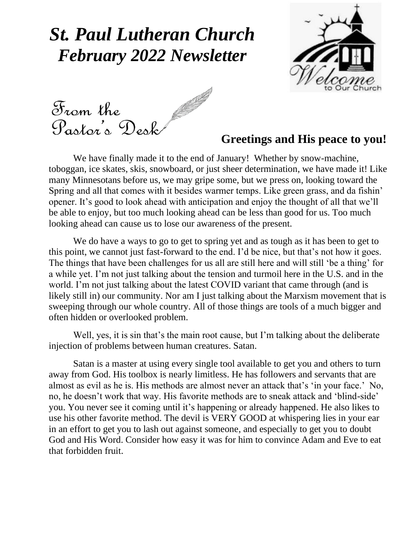### *St. Paul Lutheran Church February 2022 Newsletter*



We have finally made it to the end of January! Whether by snow-machine,

### **Greetings and His peace to you!**

toboggan, ice skates, skis, snowboard, or just sheer determination, we have made it! Like many Minnesotans before us, we may gripe some, but we press on, looking toward the Spring and all that comes with it besides warmer temps. Like green grass, and da fishin' opener. It's good to look ahead with anticipation and enjoy the thought of all that we'll be able to enjoy, but too much looking ahead can be less than good for us. Too much looking ahead can cause us to lose our awareness of the present.

We do have a ways to go to get to spring yet and as tough as it has been to get to this point, we cannot just fast-forward to the end. I'd be nice, but that's not how it goes. The things that have been challenges for us all are still here and will still 'be a thing' for a while yet. I'm not just talking about the tension and turmoil here in the U.S. and in the world. I'm not just talking about the latest COVID variant that came through (and is likely still in) our community. Nor am I just talking about the Marxism movement that is sweeping through our whole country. All of those things are tools of a much bigger and often hidden or overlooked problem.

Well, yes, it is sin that's the main root cause, but I'm talking about the deliberate injection of problems between human creatures. Satan.

Satan is a master at using every single tool available to get you and others to turn away from God. His toolbox is nearly limitless. He has followers and servants that are almost as evil as he is. His methods are almost never an attack that's 'in your face.' No, no, he doesn't work that way. His favorite methods are to sneak attack and 'blind-side' you. You never see it coming until it's happening or already happened. He also likes to use his other favorite method. The devil is VERY GOOD at whispering lies in your ear in an effort to get you to lash out against someone, and especially to get you to doubt God and His Word. Consider how easy it was for him to convince Adam and Eve to eat that forbidden fruit.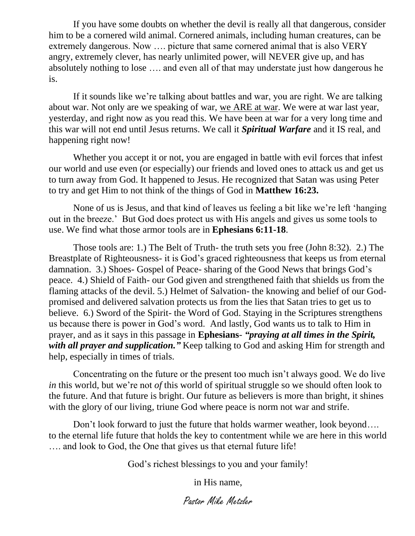If you have some doubts on whether the devil is really all that dangerous, consider him to be a cornered wild animal. Cornered animals, including human creatures, can be extremely dangerous. Now …. picture that same cornered animal that is also VERY angry, extremely clever, has nearly unlimited power, will NEVER give up, and has absolutely nothing to lose …. and even all of that may understate just how dangerous he is.

If it sounds like we're talking about battles and war, you are right. We are talking about war. Not only are we speaking of war, we ARE at war. We were at war last year, yesterday, and right now as you read this. We have been at war for a very long time and this war will not end until Jesus returns. We call it *Spiritual Warfare* and it IS real, and happening right now!

Whether you accept it or not, you are engaged in battle with evil forces that infest our world and use even (or especially) our friends and loved ones to attack us and get us to turn away from God. It happened to Jesus. He recognized that Satan was using Peter to try and get Him to not think of the things of God in **Matthew 16:23.**

None of us is Jesus, and that kind of leaves us feeling a bit like we're left 'hanging out in the breeze.' But God does protect us with His angels and gives us some tools to use. We find what those armor tools are in **Ephesians 6:11-18**.

Those tools are: 1.) The Belt of Truth- the truth sets you free (John 8:32). 2.) The Breastplate of Righteousness- it is God's graced righteousness that keeps us from eternal damnation. 3.) Shoes- Gospel of Peace- sharing of the Good News that brings God's peace. 4.) Shield of Faith- our God given and strengthened faith that shields us from the flaming attacks of the devil. 5.) Helmet of Salvation- the knowing and belief of our Godpromised and delivered salvation protects us from the lies that Satan tries to get us to believe. 6.) Sword of the Spirit- the Word of God. Staying in the Scriptures strengthens us because there is power in God's word. And lastly, God wants us to talk to Him in prayer, and as it says in this passage in **Ephesians**- *"praying at all times in the Spirit, with all prayer and supplication.*" Keep talking to God and asking Him for strength and help, especially in times of trials.

Concentrating on the future or the present too much isn't always good. We do live *in* this world, but we're not *of* this world of spiritual struggle so we should often look to the future. And that future is bright. Our future as believers is more than bright, it shines with the glory of our living, triune God where peace is norm not war and strife.

Don't look forward to just the future that holds warmer weather, look beyond.... to the eternal life future that holds the key to contentment while we are here in this world …. and look to God, the One that gives us that eternal future life!

God's richest blessings to you and your family!

in His name,

Pastor Mike Metzler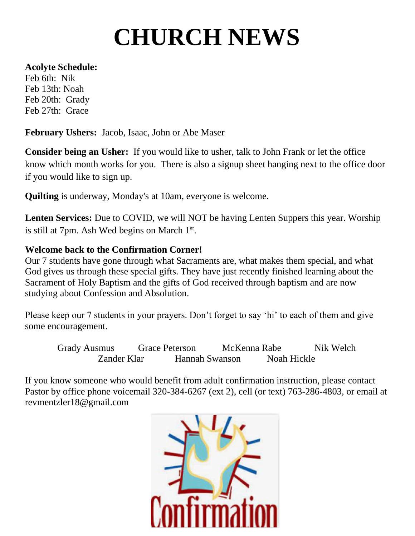# **CHURCH NEWS**

#### **Acolyte Schedule:**

Feb 6th: Nik Feb 13th: Noah Feb 20th: Grady Feb 27th: Grace

 **February Ushers:** Jacob, Isaac, John or Abe Maser

**Consider being an Usher:** If you would like to usher, talk to John Frank or let the office know which month works for you. There is also a signup sheet hanging next to the office door if you would like to sign up.

**Quilting** is underway, Monday's at 10am, everyone is welcome.

**Lenten Services:** Due to COVID, we will NOT be having Lenten Suppers this year. Worship is still at 7pm. Ash Wed begins on March 1<sup>st</sup>.

### **Welcome back to the Confirmation Corner!**

Our 7 students have gone through what Sacraments are, what makes them special, and what God gives us through these special gifts. They have just recently finished learning about the Sacrament of Holy Baptism and the gifts of God received through baptism and are now studying about Confession and Absolution.

Please keep our 7 students in your prayers. Don't forget to say 'hi' to each of them and give some encouragement.

Grady Ausmus Grace Peterson McKenna Rabe Nik Welch Zander Klar Hannah Swanson Noah Hickle

If you know someone who would benefit from adult confirmation instruction, please contact Pastor by office phone voicemail 320-384-6267 (ext 2), cell (or text) 763-286-4803, or email at revmentzler18@gmail.com

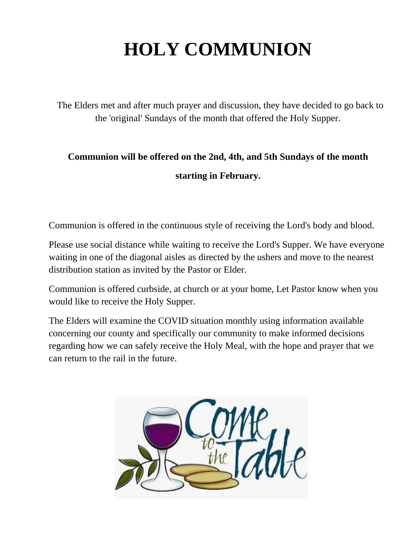## **HOLY COMMUNION**

 The Elders met and after much prayer and discussion, they have decided to go back to the 'original' Sundays of the month that offered the Holy Supper.

### **Communion will be offered on the 2nd, 4th, and 5th Sundays of the month starting in February.**

Communion is offered in the continuous style of receiving the Lord's body and blood.

Please use social distance while waiting to receive the Lord's Supper. We have everyone waiting in one of the diagonal aisles as directed by the ushers and move to the nearest distribution station as invited by the Pastor or Elder.

Communion is offered curbside, at church or at your home, Let Pastor know when you would like to receive the Holy Supper.

The Elders will examine the COVID situation monthly using information available concerning our county and specifically our community to make informed decisions regarding how we can safely receive the Holy Meal, with the hope and prayer that we can return to the rail in the future.

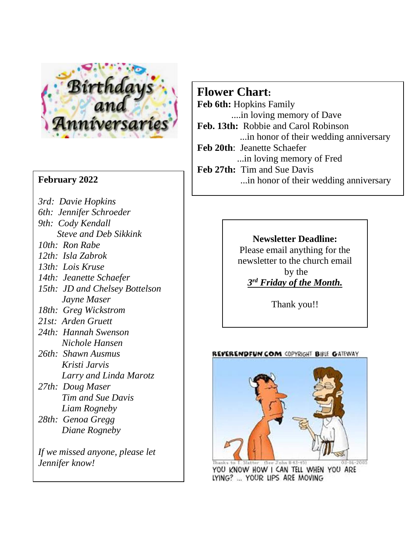

### **February 2022**

- *3rd: Davie Hopkins*
- *6th: Jennifer Schroeder*
- *9th: Cody Kendall*
	- *Steve and Deb Sikkink*
- *10th: Ron Rabe*
- *12th: Isla Zabrok*
- *13th: Lois Kruse*
- *14th: Jeanette Schaefer*
- *15th: JD and Chelsey Bottelson Jayne Maser*
- *18th: Greg Wickstrom*
- *21st: Arden Gruett*
- *24th: Hannah Swenson Nichole Hansen*
- *26th: Shawn Ausmus Kristi Jarvis Larry and Linda Marotz*
- *27th: Doug Maser Tim and Sue Davis Liam Rogneby*
- *28th: Genoa Gregg Diane Rogneby*

*If we missed anyone, please let Jennifer know!*

### **Flower Chart:**

- **Feb 6th:** Hopkins Family ....in loving memory of Dave
- **Feb. 13th:** Robbie and Carol Robinson ...in honor of their wedding anniversary
- **Feb 20th**: Jeanette Schaefer
	- ...in loving memory of Fred
- **Feb 27th:** Tim and Sue Davis
	- ...in honor of their wedding anniversary

### **Newsletter Deadline:**

Please email anything for the newsletter to the church email by the *3 rd Friday of the Month.*

Thank you!!

#### REVERENDFUN.COM COPYRIGHT BIBLE GATEWAY



YOU KNOW HOW I CAN TELL WHEN YOU ARE LYING? ... YOUR LIPS ARE MOVING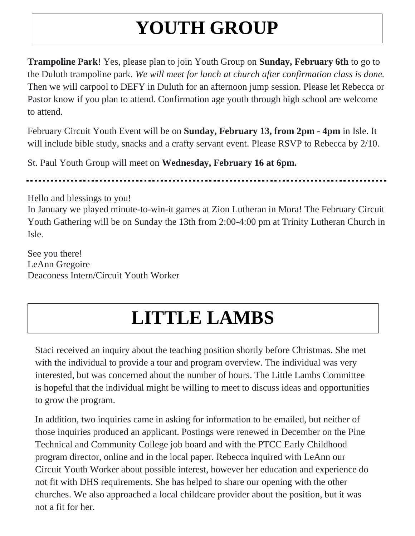## **YOUTH GROUP**

**Trampoline Park**! Yes, please plan to join Youth Group on **Sunday, February 6th** to go to the Duluth trampoline park. *We will meet for lunch at church after confirmation class is done.* Then we will carpool to DEFY in Duluth for an afternoon jump session. Please let Rebecca or Pastor know if you plan to attend. Confirmation age youth through high school are welcome to attend.

February Circuit Youth Event will be on **Sunday, February 13, from 2pm - 4pm** in Isle. It will include bible study, snacks and a crafty servant event. Please RSVP to Rebecca by 2/10.

St. Paul Youth Group will meet on **Wednesday, February 16 at 6pm.**

Hello and blessings to you!

In January we played minute-to-win-it games at Zion Lutheran in Mora! The February Circuit Youth Gathering will be on Sunday the 13th from 2:00-4:00 pm at Trinity Lutheran Church in Isle.

See you there! LeAnn Gregoire Deaconess Intern/Circuit Youth Worker

## **LITTLE LAMBS**

Staci received an inquiry about the teaching position shortly before Christmas. She met with the individual to provide a tour and program overview. The individual was very interested, but was concerned about the number of hours. The Little Lambs Committee is hopeful that the individual might be willing to meet to discuss ideas and opportunities to grow the program.

In addition, two inquiries came in asking for information to be emailed, but neither of those inquiries produced an applicant. Postings were renewed in December on the Pine Technical and Community College job board and with the PTCC Early Childhood program director, online and in the local paper. Rebecca inquired with LeAnn our Circuit Youth Worker about possible interest, however her education and experience do not fit with DHS requirements. She has helped to share our opening with the other churches. We also approached a local childcare provider about the position, but it was not a fit for her.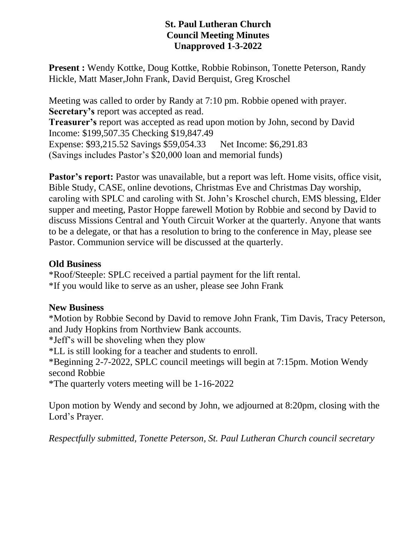### **St. Paul Lutheran Church Council Meeting Minutes Unapproved 1-3-2022**

**Present :** Wendy Kottke, Doug Kottke, Robbie Robinson, Tonette Peterson, Randy Hickle, Matt Maser,John Frank, David Berquist, Greg Kroschel

Meeting was called to order by Randy at 7:10 pm. Robbie opened with prayer. **Secretary's** report was accepted as read. **Treasurer's** report was accepted as read upon motion by John, second by David Income: \$199,507.35 Checking \$19,847.49 Expense: \$93,215.52 Savings \$59,054.33 Net Income: \$6,291.83 (Savings includes Pastor's \$20,000 loan and memorial funds)

**Pastor's report:** Pastor was unavailable, but a report was left. Home visits, office visit, Bible Study, CASE, online devotions, Christmas Eve and Christmas Day worship, caroling with SPLC and caroling with St. John's Kroschel church, EMS blessing, Elder supper and meeting, Pastor Hoppe farewell Motion by Robbie and second by David to discuss Missions Central and Youth Circuit Worker at the quarterly. Anyone that wants to be a delegate, or that has a resolution to bring to the conference in May, please see Pastor. Communion service will be discussed at the quarterly.

### **Old Business**

\*Roof/Steeple: SPLC received a partial payment for the lift rental. \*If you would like to serve as an usher, please see John Frank

### **New Business**

\*Motion by Robbie Second by David to remove John Frank, Tim Davis, Tracy Peterson, and Judy Hopkins from Northview Bank accounts.

\*Jeff's will be shoveling when they plow

\*LL is still looking for a teacher and students to enroll.

\*Beginning 2-7-2022, SPLC council meetings will begin at 7:15pm. Motion Wendy second Robbie

\*The quarterly voters meeting will be 1-16-2022

Upon motion by Wendy and second by John, we adjourned at 8:20pm, closing with the Lord's Prayer.

*Respectfully submitted, Tonette Peterson, St. Paul Lutheran Church council secretary*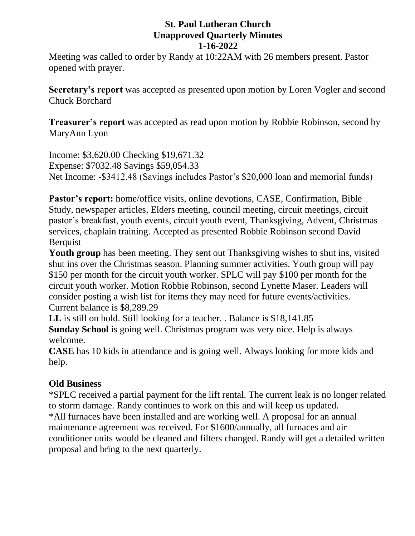### **St. Paul Lutheran Church Unapproved Quarterly Minutes 1-16-2022**

Meeting was called to order by Randy at 10:22AM with 26 members present. Pastor opened with prayer.

**Secretary's report** was accepted as presented upon motion by Loren Vogler and second Chuck Borchard

**Treasurer's report** was accepted as read upon motion by Robbie Robinson, second by MaryAnn Lyon

Income: \$3,620.00 Checking \$19,671.32 Expense: \$7032.48 Savings \$59,054.33 Net Income: -\$3412.48 (Savings includes Pastor's \$20,000 loan and memorial funds)

**Pastor's report:** home/office visits, online devotions, CASE, Confirmation, Bible Study, newspaper articles, Elders meeting, council meeting, circuit meetings, circuit pastor's breakfast, youth events, circuit youth event, Thanksgiving, Advent, Christmas services, chaplain training. Accepted as presented Robbie Robinson second David **Berquist** 

Youth group has been meeting. They sent out Thanksgiving wishes to shut ins, visited shut ins over the Christmas season. Planning summer activities. Youth group will pay \$150 per month for the circuit youth worker. SPLC will pay \$100 per month for the circuit youth worker. Motion Robbie Robinson, second Lynette Maser. Leaders will consider posting a wish list for items they may need for future events/activities. Current balance is \$8,289.29

**LL** is still on hold. Still looking for a teacher. . Balance is \$18,141.85 **Sunday School** is going well. Christmas program was very nice. Help is always welcome.

**CASE** has 10 kids in attendance and is going well. Always looking for more kids and help.

### **Old Business**

\*SPLC received a partial payment for the lift rental. The current leak is no longer related to storm damage. Randy continues to work on this and will keep us updated. \*All furnaces have been installed and are working well. A proposal for an annual maintenance agreement was received. For \$1600/annually, all furnaces and air conditioner units would be cleaned and filters changed. Randy will get a detailed written proposal and bring to the next quarterly.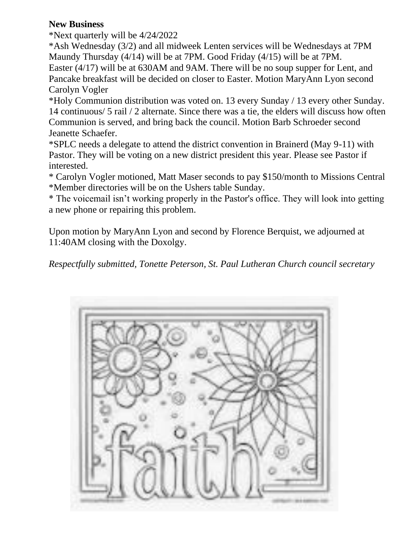### **New Business**

\*Next quarterly will be 4/24/2022

\*Ash Wednesday (3/2) and all midweek Lenten services will be Wednesdays at 7PM Maundy Thursday (4/14) will be at 7PM. Good Friday (4/15) will be at 7PM.

Easter (4/17) will be at 630AM and 9AM. There will be no soup supper for Lent, and Pancake breakfast will be decided on closer to Easter. Motion MaryAnn Lyon second Carolyn Vogler

\*Holy Communion distribution was voted on. 13 every Sunday / 13 every other Sunday. 14 continuous/ 5 rail / 2 alternate. Since there was a tie, the elders will discuss how often Communion is served, and bring back the council. Motion Barb Schroeder second Jeanette Schaefer.

\*SPLC needs a delegate to attend the district convention in Brainerd (May 9-11) with Pastor. They will be voting on a new district president this year. Please see Pastor if interested.

\* Carolyn Vogler motioned, Matt Maser seconds to pay \$150/month to Missions Central \*Member directories will be on the Ushers table Sunday.

\* The voicemail isn't working properly in the Pastor's office. They will look into getting a new phone or repairing this problem.

Upon motion by MaryAnn Lyon and second by Florence Berquist, we adjourned at 11:40AM closing with the Doxolgy.

*Respectfully submitted, Tonette Peterson, St. Paul Lutheran Church council secretary*

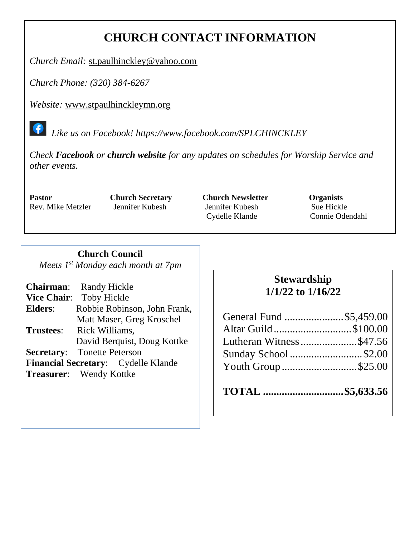### **CHURCH CONTACT INFORMATION**

*Church Email:* [st.paulhinckley@yahoo.com](mailto:st.paulhinckley@yahoo.com)

*Church Phone: (320) 384-6267*

*Website:* [www.stpaulhinckleymn.org](http://www.stpaulhinckleymn.org/)

 *Like us on Facebook!<https://www.facebook.com/SPLCHINCKLEY>*

*Check Facebook or church website for any updates on schedules for Worship Service and other events.* 

**Pastor Church Secretary Church Newsletter Organists** Rev. Mike Metzler Jennifer Kubesh Jennifer Kubesh Sue Hickle Cydelle Klande Connie Odendahl

### **Church Council**

*Meets 1 st Monday each month at 7pm*

|                  | <b>Chairman:</b> Randy Hickle       |
|------------------|-------------------------------------|
|                  | Vice Chair: Toby Hickle             |
| <b>Elders:</b>   | Robbie Robinson, John Frank,        |
|                  | Matt Maser, Greg Kroschel           |
| <b>Trustees:</b> | Rick Williams,                      |
|                  | David Berquist, Doug Kottke         |
|                  | <b>Secretary:</b> Tonette Peterson  |
|                  | Financial Secretary: Cydelle Klande |
|                  | <b>Treasurer:</b> Wendy Kottke      |
|                  |                                     |

### **Stewardship 1/1/22 to 1/16/22**

| General Fund \$5,459.00 |  |
|-------------------------|--|
| Altar Guild\$100.00     |  |
| Lutheran Witness\$47.56 |  |
| Sunday School \$2.00    |  |
| Youth Group \$25.00     |  |
|                         |  |

**TOTAL ..............................\$5,633.56**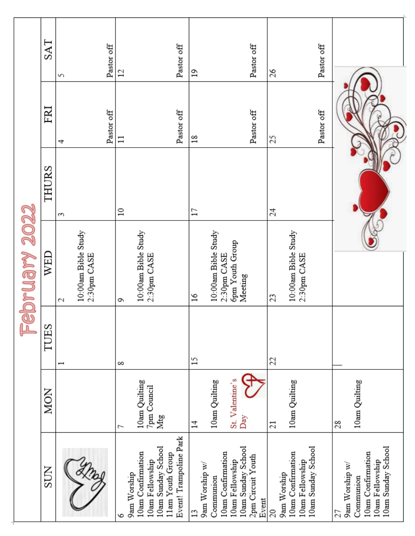| February 2022 | SAT        | 5                                  | Pastor off | $\overline{c}$   |                                      | Pastor off                                                       | $\overline{1}$       |                     |                   |                                       | Pastor off                 | 26              |                                  |                                       | Pastor off |                                                                                                 |  |  |  |
|---------------|------------|------------------------------------|------------|------------------|--------------------------------------|------------------------------------------------------------------|----------------------|---------------------|-------------------|---------------------------------------|----------------------------|-----------------|----------------------------------|---------------------------------------|------------|-------------------------------------------------------------------------------------------------|--|--|--|
|               | FRI        | 4                                  | Pastor off | $\Xi$            |                                      | Pastor off                                                       | 18                   |                     |                   |                                       | Pastor off                 | 25              |                                  |                                       | Pastor off |                                                                                                 |  |  |  |
|               | THURS      | S                                  |            | $\approx$        |                                      |                                                                  | $\Box$               |                     |                   |                                       |                            | 24              |                                  |                                       |            |                                                                                                 |  |  |  |
|               | WED        | 10:00am Bible Study<br>2:30pm CASE |            |                  | 10:00am Bible Study<br>2:30pm CASE   |                                                                  | $\frac{8}{16}$       | 10:00am Bible Study | 2:30pm CASE       | <b>6pm Youth Group</b><br>Meeting     |                            | 23              | 10:00am Bible Study              | 2:30pm CASE                           |            |                                                                                                 |  |  |  |
|               | TUES       | 2<br>$\overline{\phantom{0}}$      |            | Q<br>$\infty$    |                                      |                                                                  | 15                   |                     |                   |                                       |                            | 22              |                                  |                                       |            |                                                                                                 |  |  |  |
|               | <b>MON</b> |                                    |            | J                | 10am Quilting<br>7pm Council         | Mtg                                                              | $\sharp$             | 10am Quilting       |                   | St. Valentine's<br>Day                |                            | $\overline{21}$ | 10am Quilting                    |                                       |            | 10am Quilting<br>28                                                                             |  |  |  |
|               | <b>NOS</b> |                                    |            | 9am Worship<br>७ | 10am Confirmation<br>10am Fellowship | Event! Trampoline Park<br>10am Sunday School<br>11am Youth Group | 9am Worship w/<br>13 | Communion           | 10am Confirmation | 10am Sunday School<br>10am Fellowship | 2pm Circuit Youth<br>Event | 20              | 10am Confirmation<br>9am Worship | 10am Sunday School<br>10am Fellowship |            | 10am Sunday School<br>10am Confirmation<br>10am Fellowship<br>9am Worship w/<br>Communion<br>27 |  |  |  |